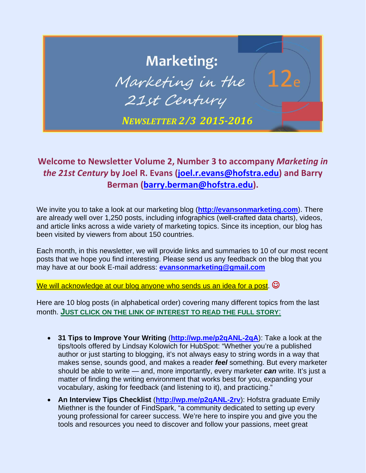## **Marketing:** Marketing in the 21st Century *NEWSLETTER 2/3 2015‐2016*

## **Welcome to Newsletter Volume 2, Number 3 to accompany** *Marketing in the 21st Century* **by Joel R. Evans (joel.r.evans@hofstra.edu) and Barry Berman (barry.berman@hofstra.edu).**

We invite you to take a look at our marketing blog (**http://evansonmarketing.com**). There are already well over 1,250 posts, including infographics (well-crafted data charts), videos, and article links across a wide variety of marketing topics. Since its inception, our blog has been visited by viewers from about 150 countries.

Each month, in this newsletter, we will provide links and summaries to 10 of our most recent posts that we hope you find interesting. Please send us any feedback on the blog that you may have at our book E-mail address: **evansonmarketing@gmail.com**

We will acknowledge at our blog anyone who sends us an idea for a post.  $\odot$ 

Here are 10 blog posts (in alphabetical order) covering many different topics from the last month. **JUST CLICK ON THE LINK OF INTEREST TO READ THE FULL STORY**:

- **31 Tips to Improve Your Writing** (**http://wp.me/p2qANL-2qA**): Take a look at the tips/tools offered by Lindsay Kolowich for HubSpot: "Whether you're a published author or just starting to blogging, it's not always easy to string words in a way that makes sense, sounds good, and makes a reader *feel* something. But every marketer should be able to write — and, more importantly, every marketer *can* write. It's just a matter of finding the writing environment that works best for you, expanding your vocabulary, asking for feedback (and listening to it), and practicing."
- **An Interview Tips Checklist** (**http://wp.me/p2qANL-2rv**): Hofstra graduate Emily Miethner is the founder of FindSpark, "a community dedicated to setting up every young professional for career success. We're here to inspire you and give you the tools and resources you need to discover and follow your passions, meet great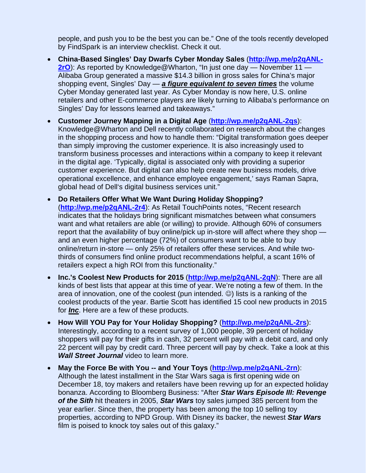people, and push you to be the best you can be." One of the tools recently developed by FindSpark is an interview checklist. Check it out.

- **China-Based Singles' Day Dwarfs Cyber Monday Sales** (**http://wp.me/p2qANL-2rO**): As reported by Knowledge@Wharton, "In just one day — November 11 — Alibaba Group generated a massive \$14.3 billion in gross sales for China's major shopping event, Singles' Day — *a figure equivalent to seven times* the volume Cyber Monday generated last year. As Cyber Monday is now here, U.S. online retailers and other E-commerce players are likely turning to Alibaba's performance on Singles' Day for lessons learned and takeaways."
- **Customer Journey Mapping in a Digital Age** (**http://wp.me/p2qANL-2qs**): Knowledge@Wharton and Dell recently collaborated on research about the changes in the shopping process and how to handle them: "Digital transformation goes deeper than simply improving the customer experience. It is also increasingly used to transform business processes and interactions within a company to keep it relevant in the digital age. 'Typically, digital is associated only with providing a superior customer experience. But digital can also help create new business models, drive operational excellence, and enhance employee engagement,' says Raman Sapra, global head of Dell's digital business services unit."
- **Do Retailers Offer What We Want During Holiday Shopping?** (**http://wp.me/p2qANL-2r4**): As Retail TouchPoints notes, "Recent research indicates that the holidays bring significant mismatches between what consumers want and what retailers are able (or willing) to provide. Although 60% of consumers report that the availability of buy online/pick up in-store will affect where they shop and an even higher percentage (72%) of consumers want to be able to buy online/return in-store — only 25% of retailers offer these services. And while twothirds of consumers find online product recommendations helpful, a scant 16% of retailers expect a high ROI from this functionality."
- **Inc.'s Coolest New Products for 2015** (**http://wp.me/p2qANL-2qN**): There are all kinds of best lists that appear at this time of year. We're noting a few of them. In the area of innovation, one of the coolest (pun intended.  $\circledcirc$ ) lists is a ranking of the coolest products of the year. Bartie Scott has identified 15 cool new products in 2015 for *Inc*. Here are a few of these products.
- **How Will YOU Pay for Your Holiday Shopping?** (**http://wp.me/p2qANL-2rs**): Interestingly, according to a recent survey of 1,000 people, 39 percent of holiday shoppers will pay for their gifts in cash, 32 percent will pay with a debit card, and only 22 percent will pay by credit card. Three percent will pay by check. Take a look at this *Wall Street Journal* video to learn more.
- **May the Force Be with You -- and Your Toys** (**http://wp.me/p2qANL-2rn**): Although the latest installment in the Star Wars saga is first opening wide on December 18, toy makers and retailers have been revving up for an expected holiday bonanza. According to Bloomberg Business: "After *Star Wars Episode III: Revenge of the Sith* hit theaters in 2005, *Star Wars* toy sales jumped 385 percent from the year earlier. Since then, the property has been among the top 10 selling toy properties, according to NPD Group. With Disney its backer, the newest *Star Wars* film is poised to knock toy sales out of this galaxy."